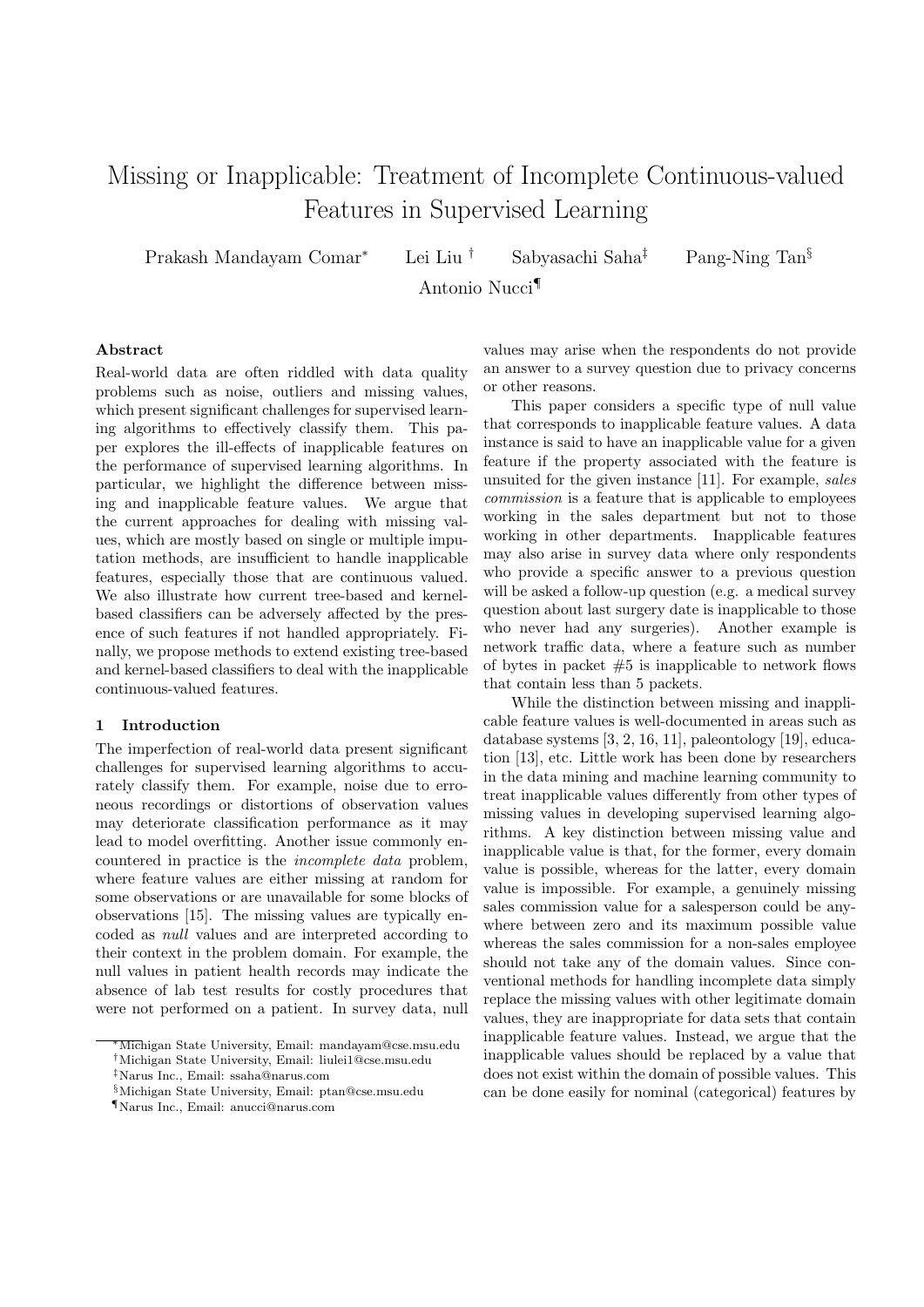# Missing or Inapplicable: Treatment of Incomplete Continuous-valued Features in Supervised Learning

Prakash Mandayam Comar*<sup>∗</sup>* Lei Liu *†* Sabyasachi Saha*‡* Pang-Ning Tan*§*

Antonio Nucci*¶*

# **Abstract**

Real-world data are often riddled with data quality problems such as noise, outliers and missing values, which present significant challenges for supervised learning algorithms to effectively classify them. This paper explores the ill-effects of inapplicable features on the performance of supervised learning algorithms. In particular, we highlight the difference between missing and inapplicable feature values. We argue that the current approaches for dealing with missing values, which are mostly based on single or multiple imputation methods, are insufficient to handle inapplicable features, especially those that are continuous valued. We also illustrate how current tree-based and kernelbased classifiers can be adversely affected by the presence of such features if not handled appropriately. Finally, we propose methods to extend existing tree-based and kernel-based classifiers to deal with the inapplicable continuous-valued features.

## **1 Introduction**

The imperfection of real-world data present significant challenges for supervised learning algorithms to accurately classify them. For example, noise due to erroneous recordings or distortions of observation values may deteriorate classification performance as it may lead to model overfitting. Another issue commonly encountered in practice is the *incomplete data* problem, where feature values are either missing at random for some observations or are unavailable for some blocks of observations [15]. The missing values are typically encoded as *null* values and are interpreted according to their context in the problem domain. For example, the null values in patient health records may indicate the absence of lab test results for costly procedures that were not performed on a patient. In survey data, null values may arise when the respondents do not provide an answer to a survey question due to privacy concerns or other reasons.

This paper considers a specific type of null value that corresponds to inapplicable feature values. A data instance is said to have an inapplicable value for a given feature if the property associated with the feature is unsuited for the given instance [11]. For example, *sales commission* is a feature that is applicable to employees working in the sales department but not to those working in other departments. Inapplicable features may also arise in survey data where only respondents who provide a specific answer to a previous question will be asked a follow-up question (e.g. a medical survey question about last surgery date is inapplicable to those who never had any surgeries). Another example is network traffic data, where a feature such as number of bytes in packet  $#5$  is inapplicable to network flows that contain less than 5 packets.

While the distinction between missing and inapplicable feature values is well-documented in areas such as database systems [3, 2, 16, 11], paleontology [19], education [13], etc. Little work has been done by researchers in the data mining and machine learning community to treat inapplicable values differently from other types of missing values in developing supervised learning algorithms. A key distinction between missing value and inapplicable value is that, for the former, every domain value is possible, whereas for the latter, every domain value is impossible. For example, a genuinely missing sales commission value for a salesperson could be anywhere between zero and its maximum possible value whereas the sales commission for a non-sales employee should not take any of the domain values. Since conventional methods for handling incomplete data simply replace the missing values with other legitimate domain values, they are inappropriate for data sets that contain inapplicable feature values. Instead, we argue that the inapplicable values should be replaced by a value that does not exist within the domain of possible values. This can be done easily for nominal (categorical) features by

*<sup>∗</sup>*Michigan State University, Email: mandayam@cse.msu.edu

*<sup>†</sup>*Michigan State University, Email: liulei1@cse.msu.edu

*<sup>‡</sup>*Narus Inc., Email: ssaha@narus.com

*<sup>§</sup>*Michigan State University, Email: ptan@cse.msu.edu

*<sup>¶</sup>*Narus Inc., Email: anucci@narus.com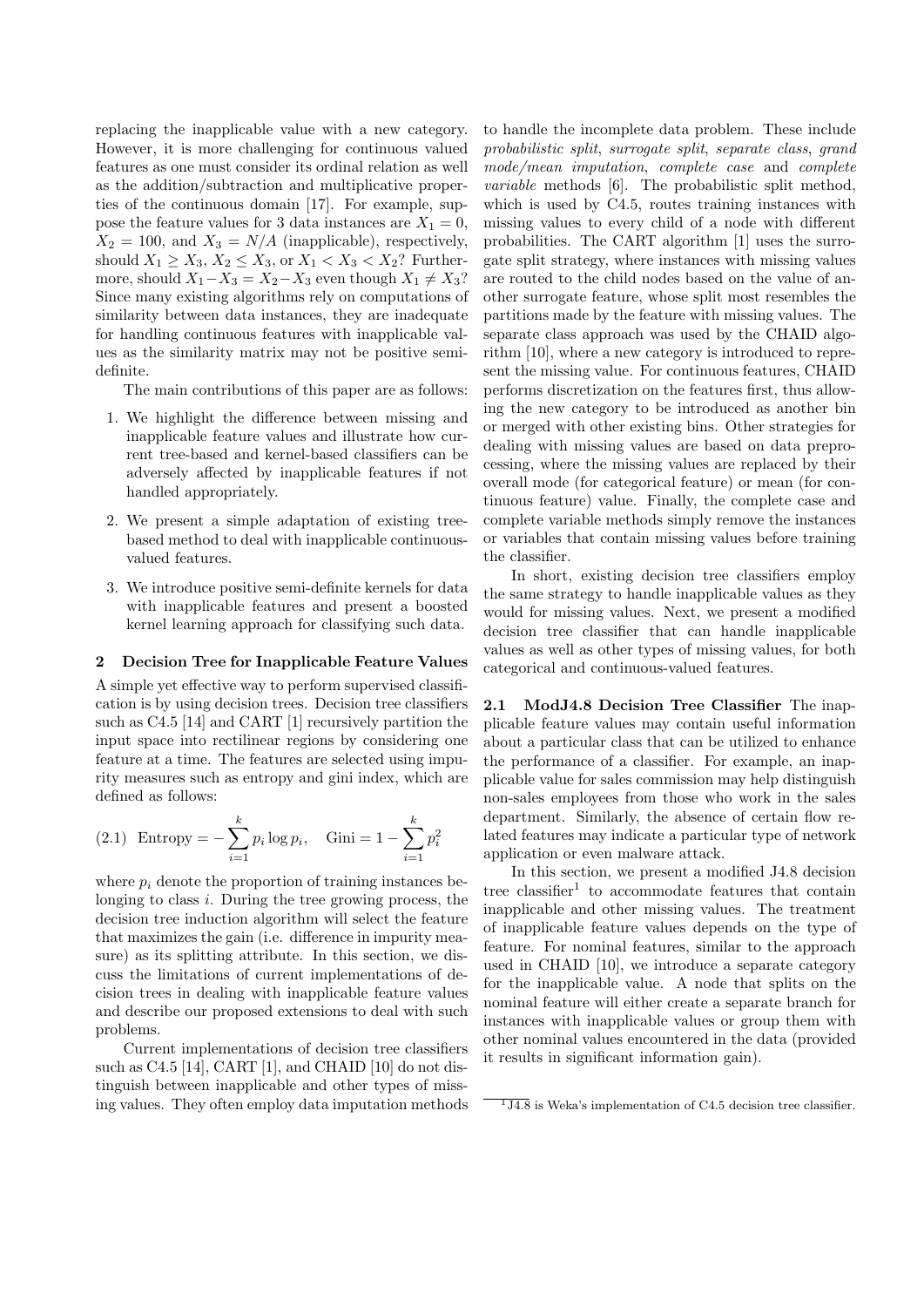replacing the inapplicable value with a new category. However, it is more challenging for continuous valued features as one must consider its ordinal relation as well as the addition/subtraction and multiplicative properties of the continuous domain [17]. For example, suppose the feature values for 3 data instances are  $X_1 = 0$ ,  $X_2 = 100$ , and  $X_3 = N/A$  (inapplicable), respectively, should *X*<sub>1</sub> ≥ *X*<sub>3</sub>, *X*<sub>2</sub> ≤ *X*<sub>3</sub>, or *X*<sub>1</sub> < *X*<sub>3</sub> < *X*<sub>2</sub>? Furthermore, should  $X_1 - X_3 = X_2 - X_3$  even though  $X_1 \neq X_3$ ? Since many existing algorithms rely on computations of similarity between data instances, they are inadequate for handling continuous features with inapplicable values as the similarity matrix may not be positive semidefinite.

The main contributions of this paper are as follows:

- 1. We highlight the difference between missing and inapplicable feature values and illustrate how current tree-based and kernel-based classifiers can be adversely affected by inapplicable features if not handled appropriately.
- 2. We present a simple adaptation of existing treebased method to deal with inapplicable continuousvalued features.
- 3. We introduce positive semi-definite kernels for data with inapplicable features and present a boosted kernel learning approach for classifying such data.

#### **2 Decision Tree for Inapplicable Feature Values**

A simple yet effective way to perform supervised classification is by using decision trees. Decision tree classifiers such as C4.5 [14] and CART [1] recursively partition the input space into rectilinear regions by considering one feature at a time. The features are selected using impurity measures such as entropy and gini index, which are defined as follows:

(2.1) Entropy = 
$$
-\sum_{i=1}^{k} p_i \log p_i
$$
, Gini =  $1 - \sum_{i=1}^{k} p_i^2$ 

where  $p_i$  denote the proportion of training instances belonging to class *i*. During the tree growing process, the decision tree induction algorithm will select the feature that maximizes the gain (i.e. difference in impurity measure) as its splitting attribute. In this section, we discuss the limitations of current implementations of decision trees in dealing with inapplicable feature values and describe our proposed extensions to deal with such problems.

Current implementations of decision tree classifiers such as C4.5 [14], CART [1], and CHAID [10] do not distinguish between inapplicable and other types of missing values. They often employ data imputation methods to handle the incomplete data problem. These include *probabilistic split*, *surrogate split*, *separate class*, *grand mode/mean imputation*, *complete case* and *complete variable* methods [6]. The probabilistic split method, which is used by C4.5, routes training instances with missing values to every child of a node with different probabilities. The CART algorithm [1] uses the surrogate split strategy, where instances with missing values are routed to the child nodes based on the value of another surrogate feature, whose split most resembles the partitions made by the feature with missing values. The separate class approach was used by the CHAID algorithm [10], where a new category is introduced to represent the missing value. For continuous features, CHAID performs discretization on the features first, thus allowing the new category to be introduced as another bin or merged with other existing bins. Other strategies for dealing with missing values are based on data preprocessing, where the missing values are replaced by their overall mode (for categorical feature) or mean (for continuous feature) value. Finally, the complete case and complete variable methods simply remove the instances or variables that contain missing values before training the classifier.

In short, existing decision tree classifiers employ the same strategy to handle inapplicable values as they would for missing values. Next, we present a modified decision tree classifier that can handle inapplicable values as well as other types of missing values, for both categorical and continuous-valued features.

**2.1 ModJ4.8 Decision Tree Classifier** The inapplicable feature values may contain useful information about a particular class that can be utilized to enhance the performance of a classifier. For example, an inapplicable value for sales commission may help distinguish non-sales employees from those who work in the sales department. Similarly, the absence of certain flow related features may indicate a particular type of network application or even malware attack.

In this section, we present a modified J4.8 decision tree classifier<sup>1</sup> to accommodate features that contain inapplicable and other missing values. The treatment of inapplicable feature values depends on the type of feature. For nominal features, similar to the approach used in CHAID [10], we introduce a separate category for the inapplicable value. A node that splits on the nominal feature will either create a separate branch for instances with inapplicable values or group them with other nominal values encountered in the data (provided it results in significant information gain).

 $\overline{114.8}$  is Weka's implementation of C4.5 decision tree classifier.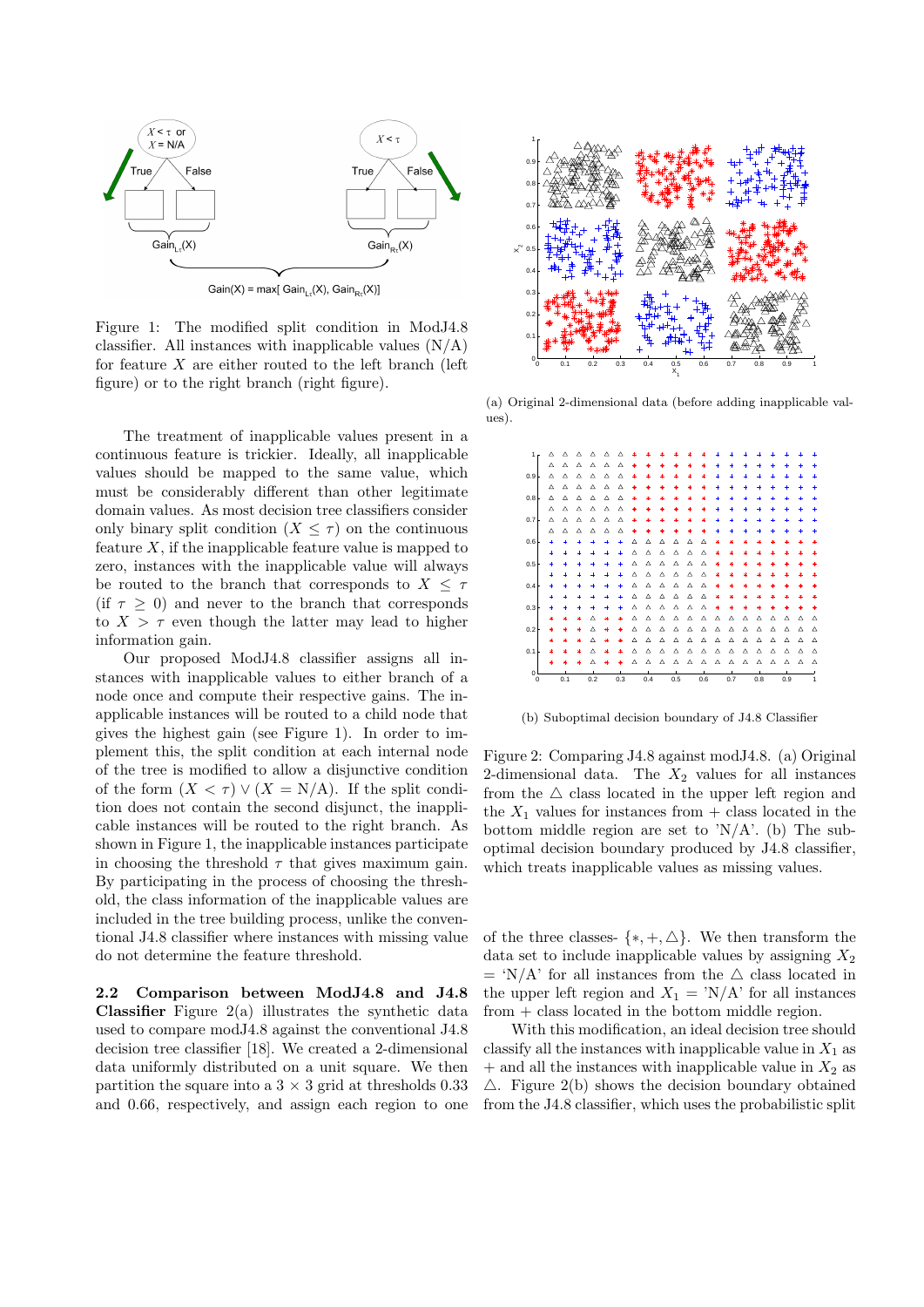

Gain(X) = max[ Gain<sub>Lτ</sub>(X), Gain<sub>Rτ</sub>(X)]

Figure 1: The modified split condition in ModJ4.8 classifier. All instances with inapplicable values  $(N/A)$ for feature *X* are either routed to the left branch (left figure) or to the right branch (right figure).

The treatment of inapplicable values present in a continuous feature is trickier. Ideally, all inapplicable values should be mapped to the same value, which must be considerably different than other legitimate domain values. As most decision tree classifiers consider only binary split condition  $(X \leq \tau)$  on the continuous feature *X*, if the inapplicable feature value is mapped to zero, instances with the inapplicable value will always be routed to the branch that corresponds to  $X \leq \tau$ (if  $\tau \geq 0$ ) and never to the branch that corresponds to  $X > \tau$  even though the latter may lead to higher information gain.

Our proposed ModJ4.8 classifier assigns all instances with inapplicable values to either branch of a node once and compute their respective gains. The inapplicable instances will be routed to a child node that gives the highest gain (see Figure 1). In order to implement this, the split condition at each internal node of the tree is modified to allow a disjunctive condition of the form  $(X < \tau) \vee (X = N/A)$ . If the split condition does not contain the second disjunct, the inapplicable instances will be routed to the right branch. As shown in Figure 1, the inapplicable instances participate in choosing the threshold  $\tau$  that gives maximum gain. By participating in the process of choosing the threshold, the class information of the inapplicable values are included in the tree building process, unlike the conventional J4.8 classifier where instances with missing value do not determine the feature threshold.

**2.2 Comparison between ModJ4.8 and J4.8 Classifier** Figure 2(a) illustrates the synthetic data used to compare modJ4.8 against the conventional J4.8 decision tree classifier [18]. We created a 2-dimensional data uniformly distributed on a unit square. We then partition the square into a  $3 \times 3$  grid at thresholds 0.33 and 0.66, respectively, and assign each region to one



(a) Original 2-dimensional data (before adding inapplicable values).



(b) Suboptimal decision boundary of J4.8 Classifier

Figure 2: Comparing J4.8 against modJ4.8. (a) Original 2-dimensional data. The *X*<sup>2</sup> values for all instances from the  $\triangle$  class located in the upper left region and the  $X_1$  values for instances from  $+$  class located in the bottom middle region are set to  $N/A$ . (b) The suboptimal decision boundary produced by J4.8 classifier, which treats inapplicable values as missing values.

of the three classes-  $\{*, +, \triangle\}$ . We then transform the data set to include inapplicable values by assigning *X*<sup>2</sup>  $=$  'N/A' for all instances from the  $\triangle$  class located in the upper left region and  $X_1 = \text{N/A}$  for all instances from + class located in the bottom middle region.

With this modification, an ideal decision tree should classify all the instances with inapplicable value in  $X_1$  as  $+$  and all the instances with inapplicable value in  $X_2$  as *△*. Figure 2(b) shows the decision boundary obtained from the J4.8 classifier, which uses the probabilistic split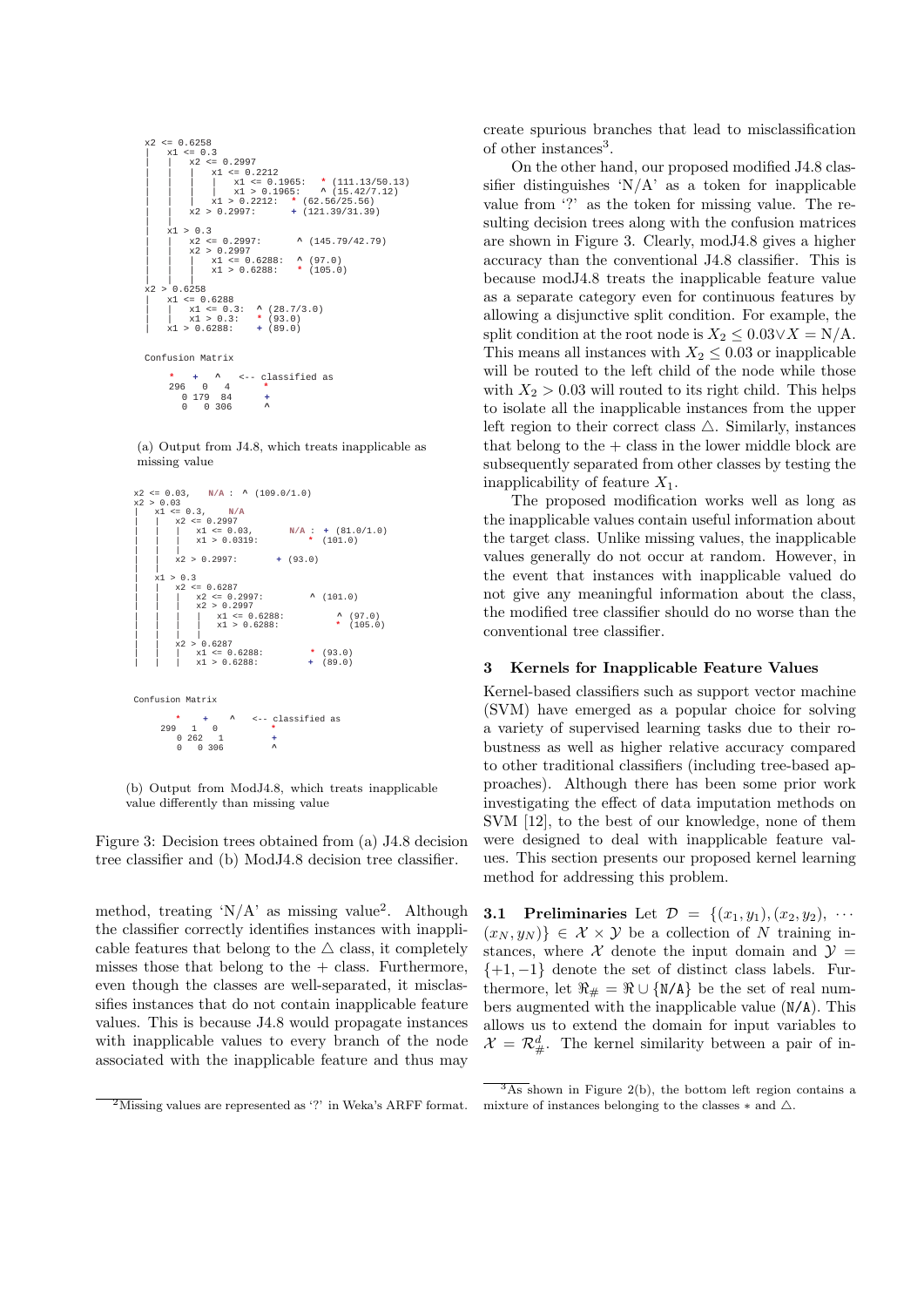x2 <= 0.6258 | x1 <= 0.3 | | x2 <= 0.2997 | | | x1 <= 0.2212 | | | | x1 <= 0.1965: **\***  (111.13/50.13) | | | | x1 > 0.1965: **^**  (15.42/7.12) | | | x1 > 0.2212: **\***  (62.56/25.56) | | x2 > 0.2997: **+**  (121.39/31.39) | | | x1 > 0.3 | | x2 <= 0.2997: **^**  (145.79/42.79) | | x2 > 0.2997 | | | x1 <= 0.6288: **^**  (97.0) | | | x1 > 0.6288: **\***  (105.0) | | | x2 > 0.6258 | x1 <= 0.6288 | | x1 <= 0.3: **^**  (28.7/3.0) | | x1 > 0.3: **\***  (93.0) | x1 > 0.6288: **+**  (89.0) Confusion Matrix **\* +
^**  <-- classified as

 296 0 4 **\***  0 179 84 **+**  0 0 306 **^** 

(a) Output from J4.8, which treats inapplicable as missing value



(b) Output from ModJ4.8, which treats inapplicable value differently than missing value

Figure 3: Decision trees obtained from (a) J4.8 decision tree classifier and (b) ModJ4.8 decision tree classifier.

method, treating ' $N/A$ ' as missing value<sup>2</sup>. Although the classifier correctly identifies instances with inapplicable features that belong to the  $\triangle$  class, it completely misses those that belong to the  $+$  class. Furthermore, even though the classes are well-separated, it misclassifies instances that do not contain inapplicable feature values. This is because J4.8 would propagate instances with inapplicable values to every branch of the node associated with the inapplicable feature and thus may create spurious branches that lead to misclassification of other instances<sup>3</sup>.

On the other hand, our proposed modified J4.8 classifier distinguishes  $N/A$  as a token for inapplicable value from '?' as the token for missing value. The resulting decision trees along with the confusion matrices are shown in Figure 3. Clearly, modJ4.8 gives a higher accuracy than the conventional J4.8 classifier. This is because modJ4.8 treats the inapplicable feature value as a separate category even for continuous features by allowing a disjunctive split condition. For example, the split condition at the root node is  $X_2 \leq 0.03 \vee X = N/A$ . This means all instances with  $X_2 \leq 0.03$  or inapplicable will be routed to the left child of the node while those with  $X_2 > 0.03$  will routed to its right child. This helps to isolate all the inapplicable instances from the upper left region to their correct class  $\triangle$ . Similarly, instances that belong to the  $+$  class in the lower middle block are subsequently separated from other classes by testing the inapplicability of feature  $X_1$ .

The proposed modification works well as long as the inapplicable values contain useful information about the target class. Unlike missing values, the inapplicable values generally do not occur at random. However, in the event that instances with inapplicable valued do not give any meaningful information about the class, the modified tree classifier should do no worse than the conventional tree classifier.

#### **3 Kernels for Inapplicable Feature Values**

Kernel-based classifiers such as support vector machine (SVM) have emerged as a popular choice for solving a variety of supervised learning tasks due to their robustness as well as higher relative accuracy compared to other traditional classifiers (including tree-based approaches). Although there has been some prior work investigating the effect of data imputation methods on SVM [12], to the best of our knowledge, none of them were designed to deal with inapplicable feature values. This section presents our proposed kernel learning method for addressing this problem.

**3.1 Preliminaries** Let  $D = \{(x_1, y_1), (x_2, y_2), \cdots\}$  $(x_N, y_N)$   $\in \mathcal{X} \times \mathcal{Y}$  be a collection of *N* training instances, where  $X$  denote the input domain and  $Y =$ *{*+1*, −*1*}* denote the set of distinct class labels. Furthermore, let  $\Re_{\#} = \Re \cup \{N/A\}$  be the set of real numbers augmented with the inapplicable value (N/A). This allows us to extend the domain for input variables to  $\mathcal{X} = \mathcal{R}_{\#}^d$ . The kernel similarity between a pair of in-

 $\sqrt[2]{2M}$ issing values are represented as '?' in Weka's ARFF format.

 $\frac{3}{3}$ As shown in Figure 2(b), the bottom left region contains a mixture of instances belonging to the classes *∗* and *△*.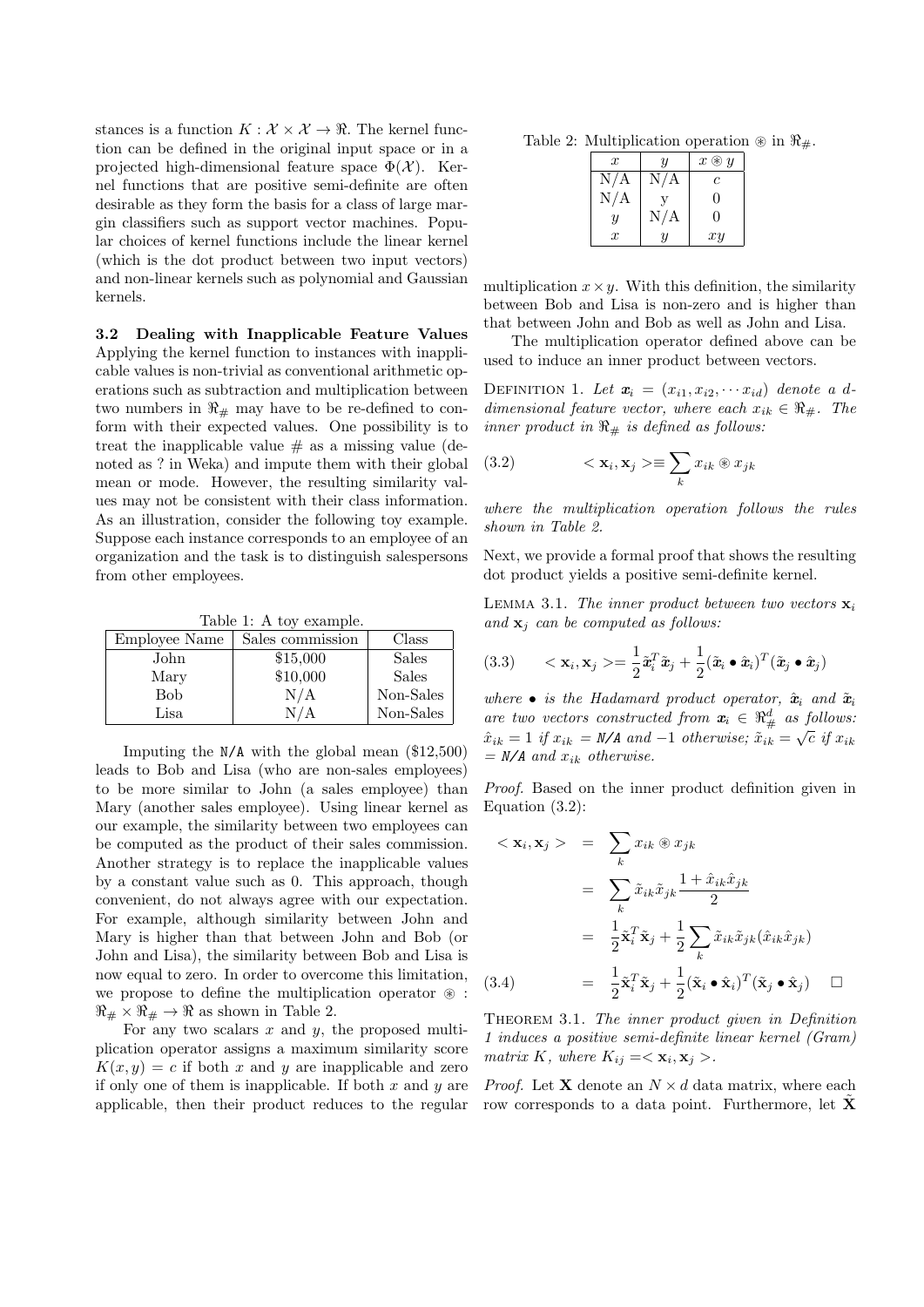stances is a function  $K : \mathcal{X} \times \mathcal{X} \rightarrow \mathbb{R}$ . The kernel function can be defined in the original input space or in a projected high-dimensional feature space  $\Phi(\mathcal{X})$ . Kernel functions that are positive semi-definite are often desirable as they form the basis for a class of large margin classifiers such as support vector machines. Popular choices of kernel functions include the linear kernel (which is the dot product between two input vectors) and non-linear kernels such as polynomial and Gaussian kernels.

**3.2 Dealing with Inapplicable Feature Values** Applying the kernel function to instances with inapplicable values is non-trivial as conventional arithmetic operations such as subtraction and multiplication between two numbers in  $\Re_{\#}$  may have to be re-defined to conform with their expected values. One possibility is to treat the inapplicable value  $#$  as a missing value (denoted as ? in Weka) and impute them with their global mean or mode. However, the resulting similarity values may not be consistent with their class information. As an illustration, consider the following toy example. Suppose each instance corresponds to an employee of an organization and the task is to distinguish salespersons from other employees.

Table 1: A toy example.

| Employee Name | Sales commission | Class        |
|---------------|------------------|--------------|
| John          | \$15,000         | <b>Sales</b> |
| Mary          | \$10,000         | <b>Sales</b> |
| Bob           | N/A              | Non-Sales    |
| Lisa          |                  | Non-Sales    |

Imputing the N/A with the global mean (\$12,500) leads to Bob and Lisa (who are non-sales employees) to be more similar to John (a sales employee) than Mary (another sales employee). Using linear kernel as our example, the similarity between two employees can be computed as the product of their sales commission. Another strategy is to replace the inapplicable values by a constant value such as 0. This approach, though convenient, do not always agree with our expectation. For example, although similarity between John and Mary is higher than that between John and Bob (or John and Lisa), the similarity between Bob and Lisa is now equal to zero. In order to overcome this limitation, we propose to define the multiplication operator  $\circledast$ :  $\Re_{\#} \times \Re_{\#} \to \Re$  as shown in Table 2.

For any two scalars *x* and *y*, the proposed multiplication operator assigns a maximum similarity score  $K(x, y) = c$  if both *x* and *y* are inapplicable and zero if only one of them is inapplicable. If both *x* and *y* are applicable, then their product reduces to the regular

Table 2: Multiplication operation  $\mathcal{R}$  in  $\mathcal{R}_{\#}$ .

| $\boldsymbol{x}$ | Y   | $x \circledast y$ |
|------------------|-----|-------------------|
| N/A              | N/A | C                 |
| N/A              |     | $\Omega$          |
| $\boldsymbol{y}$ | N/A | $\Omega$          |
| $\boldsymbol{x}$ | U   | xy                |

multiplication  $x \times y$ . With this definition, the similarity between Bob and Lisa is non-zero and is higher than that between John and Bob as well as John and Lisa.

The multiplication operator defined above can be used to induce an inner product between vectors.

DEFINITION 1. Let  $\mathbf{x}_i = (x_{i1}, x_{i2}, \cdots x_{id})$  denote a d*dimensional feature vector, where each*  $x_{ik} \in \Re_{\#}$ . The *inner product in*  $\Re$  *# is defined as follows:* 

(3.2) 
$$
\langle \mathbf{x}_i, \mathbf{x}_j \rangle \equiv \sum_k x_{ik} \circledast x_{jk}
$$

*where the multiplication operation follows the rules shown in Table 2.*

Next, we provide a formal proof that shows the resulting dot product yields a positive semi-definite kernel.

LEMMA 3.1. *The inner product between two vectors*  $\mathbf{x}_i$ *and* **x***<sup>j</sup> can be computed as follows:*

(3.3) 
$$
\langle \mathbf{x}_i, \mathbf{x}_j \rangle = \frac{1}{2} \tilde{\mathbf{x}}_i^T \tilde{\mathbf{x}}_j + \frac{1}{2} (\tilde{\mathbf{x}}_i \bullet \hat{\mathbf{x}}_i)^T (\tilde{\mathbf{x}}_j \bullet \hat{\mathbf{x}}_j)
$$

*where*  $\bullet$  *is the Hadamard product operator,*  $\hat{x}_i$  *and*  $\tilde{x}_i$ *are two vectors constructed from*  $\mathbf{x}_i \in \mathbb{R}^d$  *as follows:*  $\hat{x}_{ik} = 1$  *if*  $x_{ik} = N/A$  and  $-1$  otherwise;  $\tilde{x}_{ik} = \sqrt{c}$  *if*  $x_{ik}$ *= N/A and xik otherwise.*

*Proof.* Based on the inner product definition given in Equation (3.2):

$$
\langle \mathbf{x}_i, \mathbf{x}_j \rangle = \sum_k x_{ik} \otimes x_{jk}
$$
  
\n
$$
= \sum_k \tilde{x}_{ik} \tilde{x}_{jk} \frac{1 + \hat{x}_{ik} \hat{x}_{jk}}{2}
$$
  
\n
$$
= \frac{1}{2} \tilde{\mathbf{x}}_i^T \tilde{\mathbf{x}}_j + \frac{1}{2} \sum_k \tilde{x}_{ik} \tilde{x}_{jk} (\hat{x}_{ik} \hat{x}_{jk})
$$
  
\n(3.4) 
$$
= \frac{1}{2} \tilde{\mathbf{x}}_i^T \tilde{\mathbf{x}}_j + \frac{1}{2} (\tilde{\mathbf{x}}_i \bullet \hat{\mathbf{x}}_i)^T (\tilde{\mathbf{x}}_j \bullet \hat{\mathbf{x}}_j) \square
$$

Theorem 3.1. *The inner product given in Definition 1 induces a positive semi-definite linear kernel (Gram) matrix*  $K$ *, where*  $K_{ij} = \langle \mathbf{x}_i, \mathbf{x}_j \rangle$ .

*Proof.* Let **X** denote an  $N \times d$  data matrix, where each row corresponds to a data point. Furthermore, let **X**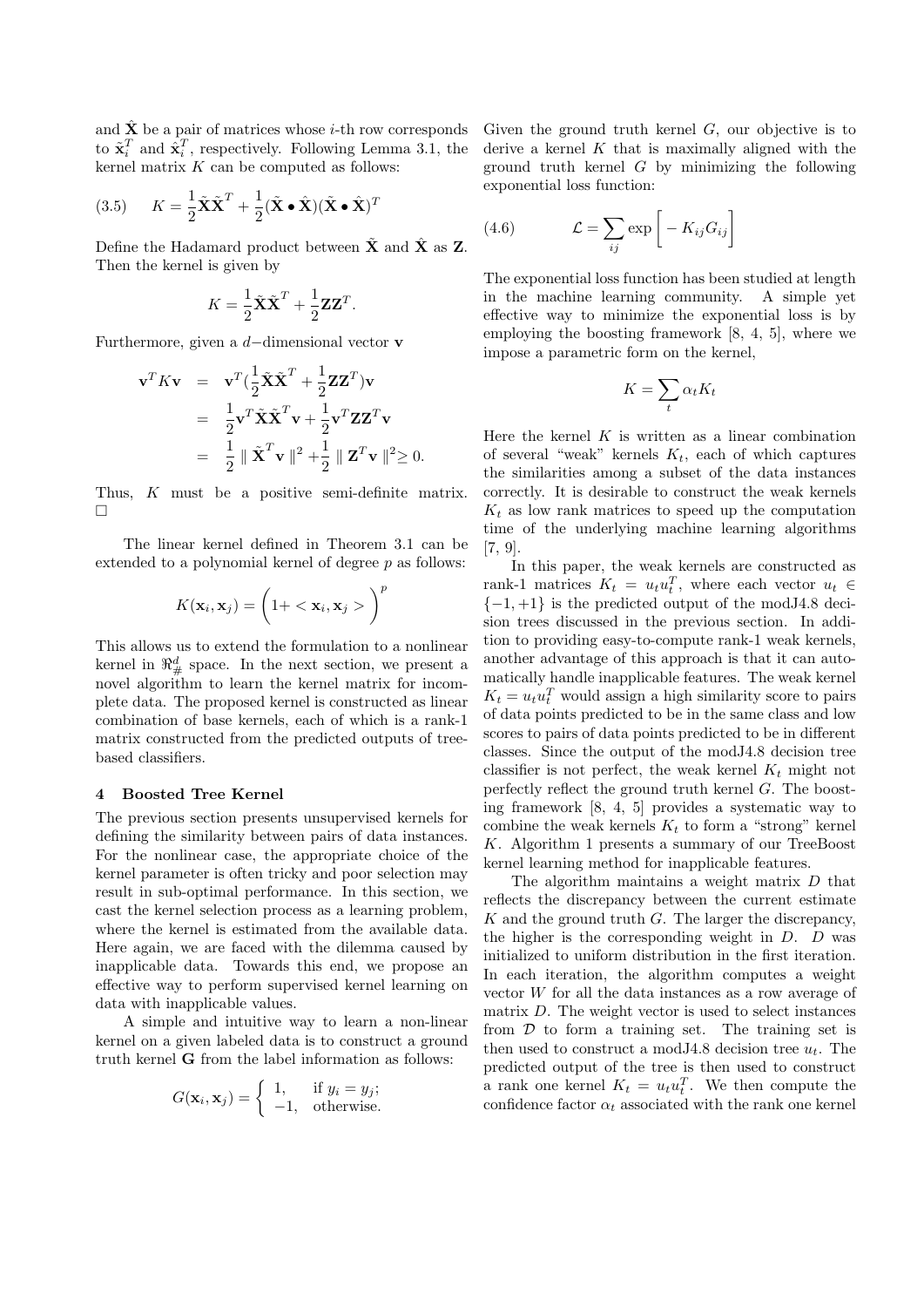and  $\hat{\mathbf{X}}$  be a pair of matrices whose *i*-th row corresponds to  $\tilde{\mathbf{x}}_i^T$  and  $\hat{\mathbf{x}}_i^T$ , respectively. Following Lemma 3.1, the kernel matrix *K* can be computed as follows:

(3.5) 
$$
K = \frac{1}{2}\tilde{\mathbf{X}}\tilde{\mathbf{X}}^T + \frac{1}{2}(\tilde{\mathbf{X}} \cdot \hat{\mathbf{X}})(\tilde{\mathbf{X}} \cdot \hat{\mathbf{X}})^T
$$

Define the Hadamard product between  $\tilde{\mathbf{X}}$  and  $\hat{\mathbf{X}}$  as **Z**. Then the kernel is given by

$$
K = \frac{1}{2}\tilde{\mathbf{X}}\tilde{\mathbf{X}}^T + \frac{1}{2}\mathbf{Z}\mathbf{Z}^T.
$$

Furthermore, given a *d−*dimensional vector **v**

$$
\mathbf{v}^T K \mathbf{v} = \mathbf{v}^T (\frac{1}{2} \tilde{\mathbf{X}} \tilde{\mathbf{X}}^T + \frac{1}{2} \mathbf{Z} \mathbf{Z}^T) \mathbf{v}
$$
  
=  $\frac{1}{2} \mathbf{v}^T \tilde{\mathbf{X}} \tilde{\mathbf{X}}^T \mathbf{v} + \frac{1}{2} \mathbf{v}^T \mathbf{Z} \mathbf{Z}^T \mathbf{v}$   
=  $\frac{1}{2} || \tilde{\mathbf{X}}^T \mathbf{v} ||^2 + \frac{1}{2} || \mathbf{Z}^T \mathbf{v} ||^2 \ge 0.$ 

Thus, *K* must be a positive semi-definite matrix.  $\Box$ 

The linear kernel defined in Theorem 3.1 can be extended to a polynomial kernel of degree *p* as follows:

$$
K(\mathbf{x}_i, \mathbf{x}_j) = \left(1 + \langle \mathbf{x}_i, \mathbf{x}_j \rangle\right)^p
$$

This allows us to extend the formulation to a nonlinear kernel in  $\mathbb{R}^d_\#$  space. In the next section, we present a novel algorithm to learn the kernel matrix for incomplete data. The proposed kernel is constructed as linear combination of base kernels, each of which is a rank-1 matrix constructed from the predicted outputs of treebased classifiers.

## **4 Boosted Tree Kernel**

The previous section presents unsupervised kernels for defining the similarity between pairs of data instances. For the nonlinear case, the appropriate choice of the kernel parameter is often tricky and poor selection may result in sub-optimal performance. In this section, we cast the kernel selection process as a learning problem, where the kernel is estimated from the available data. Here again, we are faced with the dilemma caused by inapplicable data. Towards this end, we propose an effective way to perform supervised kernel learning on data with inapplicable values.

A simple and intuitive way to learn a non-linear kernel on a given labeled data is to construct a ground truth kernel **G** from the label information as follows:

$$
G(\mathbf{x}_i, \mathbf{x}_j) = \begin{cases} 1, & \text{if } y_i = y_j; \\ -1, & \text{otherwise.} \end{cases}
$$

Given the ground truth kernel *G*, our objective is to derive a kernel *K* that is maximally aligned with the ground truth kernel *G* by minimizing the following exponential loss function:

(4.6) 
$$
\mathcal{L} = \sum_{ij} \exp\left[-K_{ij}G_{ij}\right]
$$

The exponential loss function has been studied at length in the machine learning community. A simple yet effective way to minimize the exponential loss is by employing the boosting framework [8, 4, 5], where we impose a parametric form on the kernel,

$$
K = \sum_{t} \alpha_t K_t
$$

Here the kernel  $K$  is written as a linear combination of several "weak" kernels *Kt*, each of which captures the similarities among a subset of the data instances correctly. It is desirable to construct the weak kernels  $K_t$  as low rank matrices to speed up the computation time of the underlying machine learning algorithms [7, 9].

In this paper, the weak kernels are constructed as rank-1 matrices  $K_t = u_t u_t^T$ , where each vector  $u_t \in$ *{−*1*,* +1*}* is the predicted output of the modJ4.8 decision trees discussed in the previous section. In addition to providing easy-to-compute rank-1 weak kernels, another advantage of this approach is that it can automatically handle inapplicable features. The weak kernel  $K_t = u_t u_t^T$  would assign a high similarity score to pairs of data points predicted to be in the same class and low scores to pairs of data points predicted to be in different classes. Since the output of the modJ4.8 decision tree classifier is not perfect, the weak kernel  $K_t$  might not perfectly reflect the ground truth kernel *G*. The boosting framework [8, 4, 5] provides a systematic way to combine the weak kernels  $K_t$  to form a "strong" kernel *K*. Algorithm 1 presents a summary of our TreeBoost kernel learning method for inapplicable features.

The algorithm maintains a weight matrix *D* that reflects the discrepancy between the current estimate *K* and the ground truth *G*. The larger the discrepancy, the higher is the corresponding weight in *D*. *D* was initialized to uniform distribution in the first iteration. In each iteration, the algorithm computes a weight vector *W* for all the data instances as a row average of matrix *D*. The weight vector is used to select instances from  $D$  to form a training set. The training set is then used to construct a modJ4.8 decision tree *ut*. The predicted output of the tree is then used to construct a rank one kernel  $K_t = u_t u_t^T$ . We then compute the confidence factor  $\alpha_t$  associated with the rank one kernel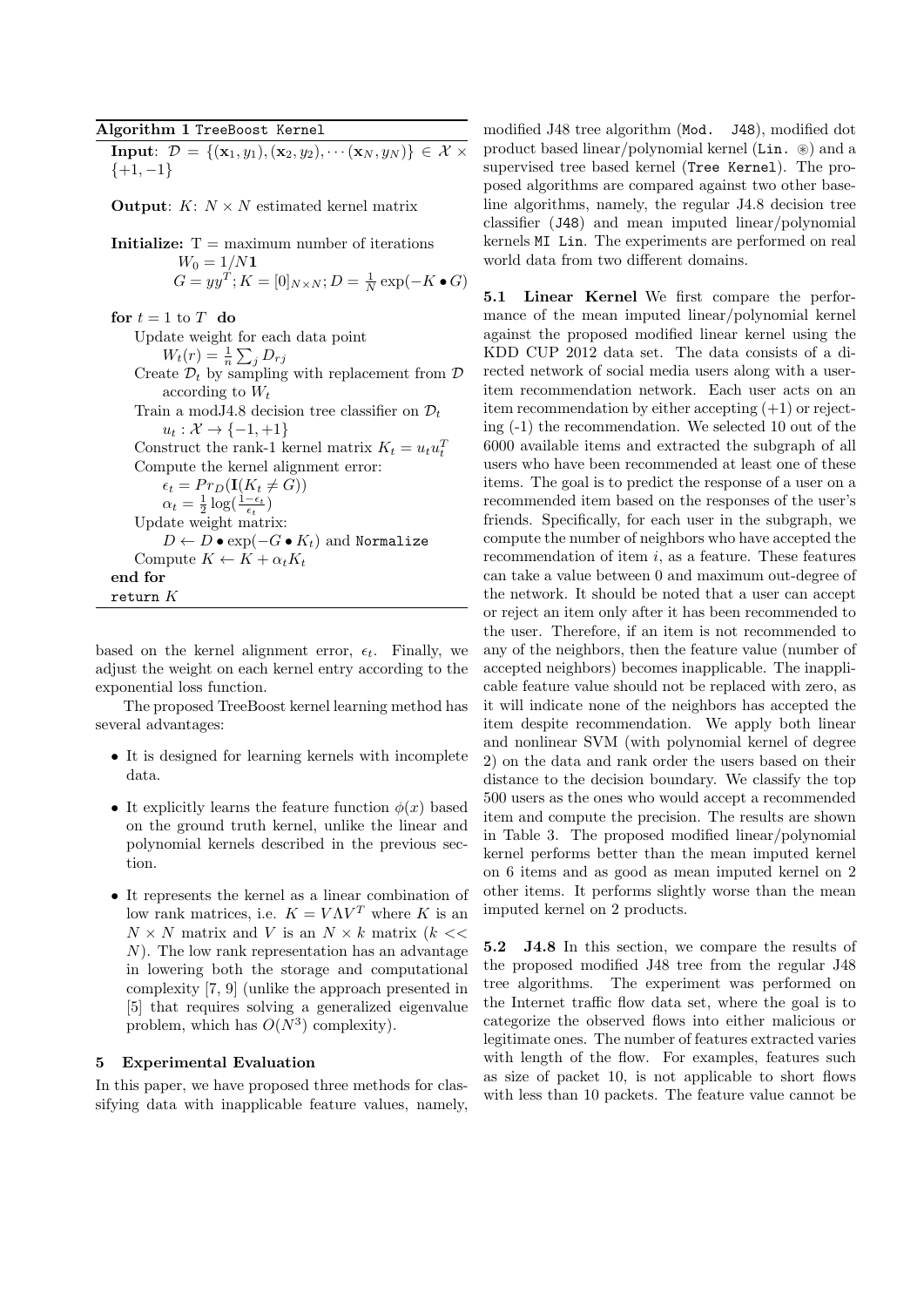## **Algorithm 1** TreeBoost Kernel

**Input**:  $\mathcal{D} = \{(\mathbf{x}_1, y_1), (\mathbf{x}_2, y_2), \cdots (\mathbf{x}_N, y_N)\} \in \mathcal{X} \times$ *{*+1*, −*1*}*

**Output**:  $K: N \times N$  estimated kernel matrix

**Initialize:**  $T =$  maximum number of iterations  $W_0 = 1/N$ **1**  $G = yy^T; K = [0]_{N \times N}; D = \frac{1}{N} \exp(-K \cdot G)$ 

**for**  $t = 1$  to  $T$  **do** Update weight for each data point  $W_t(r) = \frac{1}{n} \sum_j D_{rj}$ Create  $\mathcal{D}_t$  by sampling with replacement from  $\mathcal{D}_t$ according to *W<sup>t</sup>* Train a modJ4.8 decision tree classifier on  $\mathcal{D}_t$ *u<sup>t</sup>* : *X → {−*1*,* +1*}* Construct the rank-1 kernel matrix  $K_t = u_t u_t^T$ Compute the kernel alignment error:  $\epsilon_t = Pr_D(\mathbf{I}(K_t \neq G))$  $\alpha_t = \frac{1}{2} \log(\frac{1-\epsilon_t}{\epsilon_t})$ Update weight matrix: *D* ← *D* • exp $(-G \cdot K_t)$  and Normalize Compute  $K \leftarrow K + \alpha_t K_t$ **end for** return *K*

based on the kernel alignment error,  $\epsilon_t$ . Finally, we adjust the weight on each kernel entry according to the exponential loss function.

The proposed TreeBoost kernel learning method has several advantages:

- It is designed for learning kernels with incomplete data.
- It explicitly learns the feature function  $\phi(x)$  based on the ground truth kernel, unlike the linear and polynomial kernels described in the previous section.
- *•* It represents the kernel as a linear combination of low rank matrices, i.e.  $K = V\Lambda V^T$  where *K* is an  $N \times N$  matrix and *V* is an  $N \times k$  matrix (*k << N*). The low rank representation has an advantage in lowering both the storage and computational complexity [7, 9] (unlike the approach presented in [5] that requires solving a generalized eigenvalue problem, which has  $O(N^3)$  complexity).

## **5 Experimental Evaluation**

In this paper, we have proposed three methods for classifying data with inapplicable feature values, namely, modified J48 tree algorithm (Mod. J48), modified dot product based linear/polynomial kernel (Lin.  $\circledast$ ) and a supervised tree based kernel (Tree Kernel). The proposed algorithms are compared against two other baseline algorithms, namely, the regular J4.8 decision tree classifier (J48) and mean imputed linear/polynomial kernels MI Lin. The experiments are performed on real world data from two different domains.

**5.1 Linear Kernel** We first compare the performance of the mean imputed linear/polynomial kernel against the proposed modified linear kernel using the KDD CUP 2012 data set. The data consists of a directed network of social media users along with a useritem recommendation network. Each user acts on an item recommendation by either accepting (+1) or rejecting (-1) the recommendation. We selected 10 out of the 6000 available items and extracted the subgraph of all users who have been recommended at least one of these items. The goal is to predict the response of a user on a recommended item based on the responses of the user's friends. Specifically, for each user in the subgraph, we compute the number of neighbors who have accepted the recommendation of item *i*, as a feature. These features can take a value between 0 and maximum out-degree of the network. It should be noted that a user can accept or reject an item only after it has been recommended to the user. Therefore, if an item is not recommended to any of the neighbors, then the feature value (number of accepted neighbors) becomes inapplicable. The inapplicable feature value should not be replaced with zero, as it will indicate none of the neighbors has accepted the item despite recommendation. We apply both linear and nonlinear SVM (with polynomial kernel of degree 2) on the data and rank order the users based on their distance to the decision boundary. We classify the top 500 users as the ones who would accept a recommended item and compute the precision. The results are shown in Table 3. The proposed modified linear/polynomial kernel performs better than the mean imputed kernel on 6 items and as good as mean imputed kernel on 2 other items. It performs slightly worse than the mean imputed kernel on 2 products.

**5.2 J4.8** In this section, we compare the results of the proposed modified J48 tree from the regular J48 tree algorithms. The experiment was performed on the Internet traffic flow data set, where the goal is to categorize the observed flows into either malicious or legitimate ones. The number of features extracted varies with length of the flow. For examples, features such as size of packet 10, is not applicable to short flows with less than 10 packets. The feature value cannot be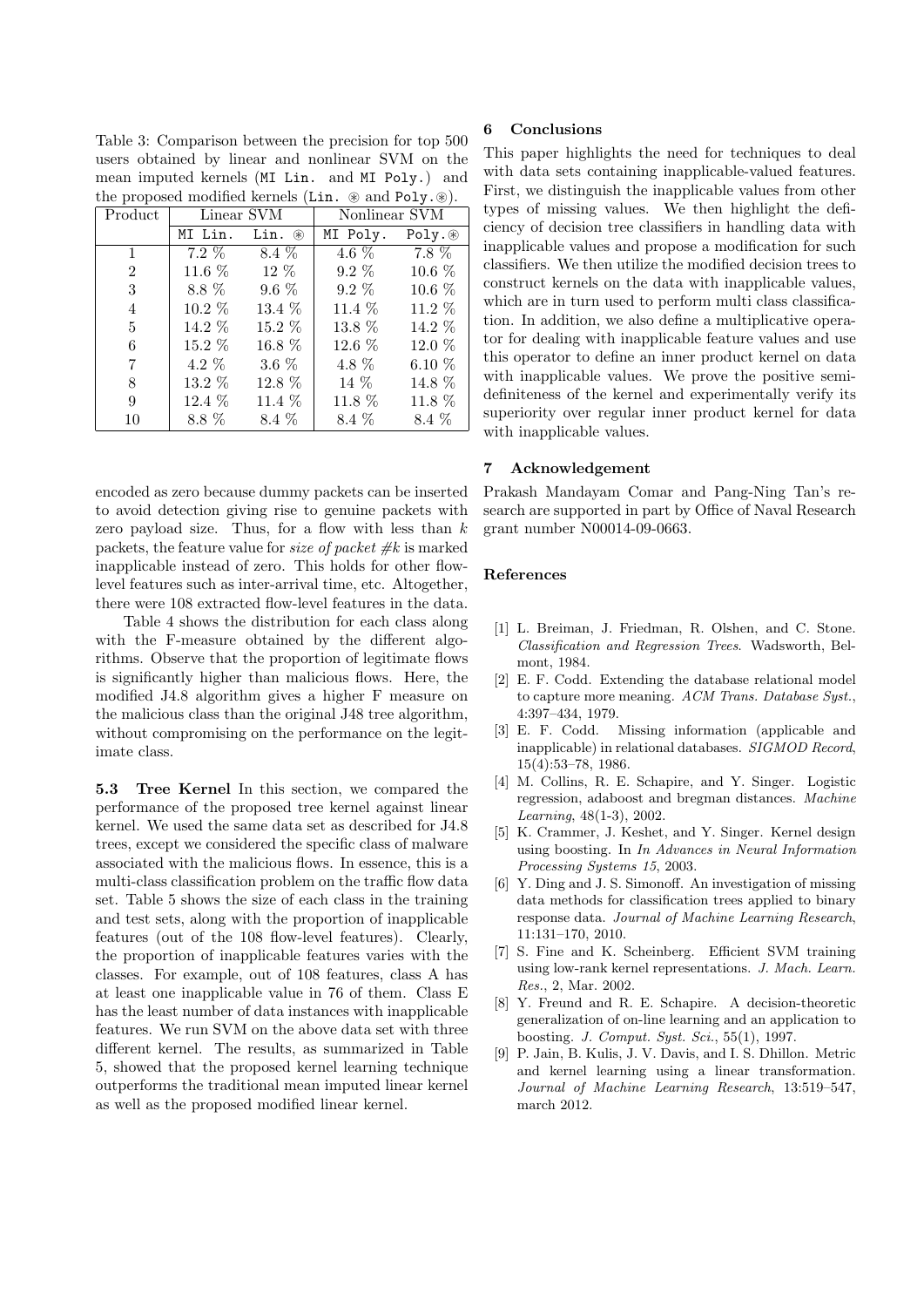Table 3: Comparison between the precision for top 500 users obtained by linear and nonlinear SVM on the mean imputed kernels (MI Lin. and MI Poly.) and the proposed modified kernels (Lin.  $\circledast$  and Poly. $\circledast$ ).

| Product         |          | Linear SVM         |          | Nonlinear SVM |  |  |
|-----------------|----------|--------------------|----------|---------------|--|--|
|                 | MI Lin.  | Lin. $\circledast$ | MI Poly. | Poly.         |  |  |
| $\mathbf{1}$    |          | $7.2\%$ $8.4\%$    | $4.6\%$  | $7.8\%$       |  |  |
| $\overline{2}$  | $11.6\%$ | $12\%$             | $9.2\%$  | 10.6 %        |  |  |
| 3               | 8.8 %    | $9.6\%$            | $9.2\%$  | 10.6 %        |  |  |
| 4               | $10.2\%$ | $13.4\%$           | 11.4 $%$ | $11.2\%$      |  |  |
| $5\overline{)}$ | $14.2\%$ | 15.2 %             | 13.8 %   | $14.2\%$      |  |  |
| 6               | $15.2\%$ | 16.8 %             | $12.6\%$ | $12.0\%$      |  |  |
| 7               | $4.2\%$  | $3.6\%$            | 4.8 %    | 6.10 $%$      |  |  |
| 8               | 13.2 %   | 12.8 %             | 14 %     | 14.8 %        |  |  |
| 9               | $12.4\%$ | $11.4\%$           | $11.8\%$ | 11.8 %        |  |  |
| 10              | $8.8\%$  | 8.4 %              | 8.4 %    | 8.4 %         |  |  |

encoded as zero because dummy packets can be inserted to avoid detection giving rise to genuine packets with zero payload size. Thus, for a flow with less than *k* packets, the feature value for *size of packet #k* is marked inapplicable instead of zero. This holds for other flowlevel features such as inter-arrival time, etc. Altogether, there were 108 extracted flow-level features in the data.

Table 4 shows the distribution for each class along with the F-measure obtained by the different algorithms. Observe that the proportion of legitimate flows is significantly higher than malicious flows. Here, the modified J4.8 algorithm gives a higher F measure on the malicious class than the original J48 tree algorithm, without compromising on the performance on the legitimate class.

**5.3 Tree Kernel** In this section, we compared the performance of the proposed tree kernel against linear kernel. We used the same data set as described for J4.8 trees, except we considered the specific class of malware associated with the malicious flows. In essence, this is a multi-class classification problem on the traffic flow data set. Table 5 shows the size of each class in the training and test sets, along with the proportion of inapplicable features (out of the 108 flow-level features). Clearly, the proportion of inapplicable features varies with the classes. For example, out of 108 features, class A has at least one inapplicable value in 76 of them. Class E has the least number of data instances with inapplicable features. We run SVM on the above data set with three different kernel. The results, as summarized in Table 5, showed that the proposed kernel learning technique outperforms the traditional mean imputed linear kernel as well as the proposed modified linear kernel.

## **6 Conclusions**

This paper highlights the need for techniques to deal with data sets containing inapplicable-valued features. First, we distinguish the inapplicable values from other types of missing values. We then highlight the deficiency of decision tree classifiers in handling data with inapplicable values and propose a modification for such classifiers. We then utilize the modified decision trees to construct kernels on the data with inapplicable values, which are in turn used to perform multi class classification. In addition, we also define a multiplicative operator for dealing with inapplicable feature values and use this operator to define an inner product kernel on data with inapplicable values. We prove the positive semidefiniteness of the kernel and experimentally verify its superiority over regular inner product kernel for data with inapplicable values.

## **7 Acknowledgement**

Prakash Mandayam Comar and Pang-Ning Tan's research are supported in part by Office of Naval Research grant number N00014-09-0663.

## **References**

- [1] L. Breiman, J. Friedman, R. Olshen, and C. Stone. *Classification and Regression Trees*. Wadsworth, Belmont, 1984.
- [2] E. F. Codd. Extending the database relational model to capture more meaning. *ACM Trans. Database Syst.*, 4:397–434, 1979.
- [3] E. F. Codd. Missing information (applicable and inapplicable) in relational databases. *SIGMOD Record*, 15(4):53–78, 1986.
- [4] M. Collins, R. E. Schapire, and Y. Singer. Logistic regression, adaboost and bregman distances. *Machine Learning*, 48(1-3), 2002.
- [5] K. Crammer, J. Keshet, and Y. Singer. Kernel design using boosting. In *In Advances in Neural Information Processing Systems 15*, 2003.
- [6] Y. Ding and J. S. Simonoff. An investigation of missing data methods for classification trees applied to binary response data. *Journal of Machine Learning Research*, 11:131–170, 2010.
- [7] S. Fine and K. Scheinberg. Efficient SVM training using low-rank kernel representations. *J. Mach. Learn. Res.*, 2, Mar. 2002.
- [8] Y. Freund and R. E. Schapire. A decision-theoretic generalization of on-line learning and an application to boosting. *J. Comput. Syst. Sci.*, 55(1), 1997.
- [9] P. Jain, B. Kulis, J. V. Davis, and I. S. Dhillon. Metric and kernel learning using a linear transformation. *Journal of Machine Learning Research*, 13:519–547, march 2012.